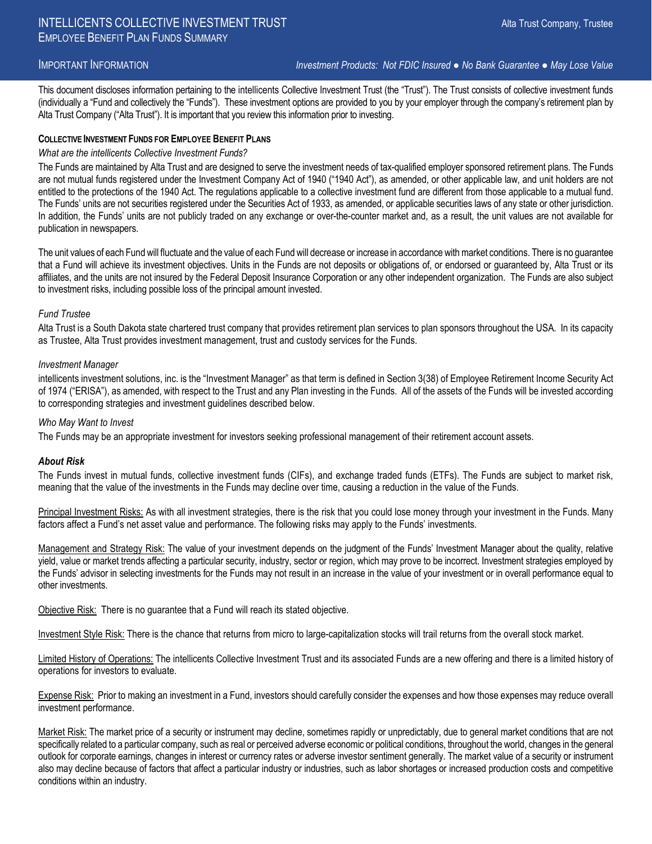IMPORTANT INFORMATION *Investment Products: Not FDIC Insured ● No Bank Guarantee ● May Lose Value*

This document discloses information pertaining to the intellicents Collective Investment Trust (the "Trust"). The Trust consists of collective investment funds (individually a "Fund and collectively the "Funds"). These investment options are provided to you by your employer through the company's retirement plan by Alta Trust Company ("Alta Trust"). It is important that you review this information prior to investing.

#### **COLLECTIVE INVESTMENT FUNDS FOR EMPLOYEE BENEFIT PLANS**

#### *What are the intellicents Collective Investment Funds?*

The Funds are maintained by Alta Trust and are designed to serve the investment needs of tax-qualified employer sponsored retirement plans. The Funds are not mutual funds registered under the Investment Company Act of 1940 ("1940 Act"), as amended, or other applicable law, and unit holders are not entitled to the protections of the 1940 Act. The regulations applicable to a collective investment fund are different from those applicable to a mutual fund. The Funds' units are not securities registered under the Securities Act of 1933, as amended, or applicable securities laws of any state or other jurisdiction. In addition, the Funds' units are not publicly traded on any exchange or over-the-counter market and, as a result, the unit values are not available for publication in newspapers.

The unit values of each Fund will fluctuate and the value of each Fund will decrease or increase in accordance with market conditions. There is no guarantee that a Fund will achieve its investment objectives. Units in the Funds are not deposits or obligations of, or endorsed or guaranteed by, Alta Trust or its affiliates, and the units are not insured by the Federal Deposit Insurance Corporation or any other independent organization. The Funds are also subject to investment risks, including possible loss of the principal amount invested.

#### *Fund Trustee*

Alta Trust is a South Dakota state chartered trust company that provides retirement plan services to plan sponsors throughout the USA. In its capacity as Trustee, Alta Trust provides investment management, trust and custody services for the Funds.

#### *Investment Manager*

intellicents investment solutions, inc. is the "Investment Manager" as that term is defined in Section 3(38) of Employee Retirement Income Security Act of 1974 ("ERISA"), as amended, with respect to the Trust and any Plan investing in the Funds. All of the assets of the Funds will be invested according to corresponding strategies and investment guidelines described below.

#### *Who May Want to Invest*

The Funds may be an appropriate investment for investors seeking professional management of their retirement account assets.

#### *About Risk*

The Funds invest in mutual funds, collective investment funds (CIFs), and exchange traded funds (ETFs). The Funds are subject to market risk, meaning that the value of the investments in the Funds may decline over time, causing a reduction in the value of the Funds.

Principal Investment Risks: As with all investment strategies, there is the risk that you could lose money through your investment in the Funds. Many factors affect a Fund's net asset value and performance. The following risks may apply to the Funds' investments.

Management and Strategy Risk: The value of your investment depends on the judgment of the Funds' Investment Manager about the quality, relative yield, value or market trends affecting a particular security, industry, sector or region, which may prove to be incorrect. Investment strategies employed by the Funds' advisor in selecting investments for the Funds may not result in an increase in the value of your investment or in overall performance equal to other investments.

Objective Risk: There is no guarantee that a Fund will reach its stated objective.

Investment Style Risk: There is the chance that returns from micro to large-capitalization stocks will trail returns from the overall stock market.

Limited History of Operations: The intellicents Collective Investment Trust and its associated Funds are a new offering and there is a limited history of operations for investors to evaluate.

Expense Risk: Prior to making an investment in a Fund, investors should carefully consider the expenses and how those expenses may reduce overall investment performance.

Market Risk: The market price of a security or instrument may decline, sometimes rapidly or unpredictably, due to general market conditions that are not specifically related to a particular company, such as real or perceived adverse economic or political conditions, throughout the world, changes in the general outlook for corporate earnings, changes in interest or currency rates or adverse investor sentiment generally. The market value of a security or instrument also may decline because of factors that affect a particular industry or industries, such as labor shortages or increased production costs and competitive conditions within an industry.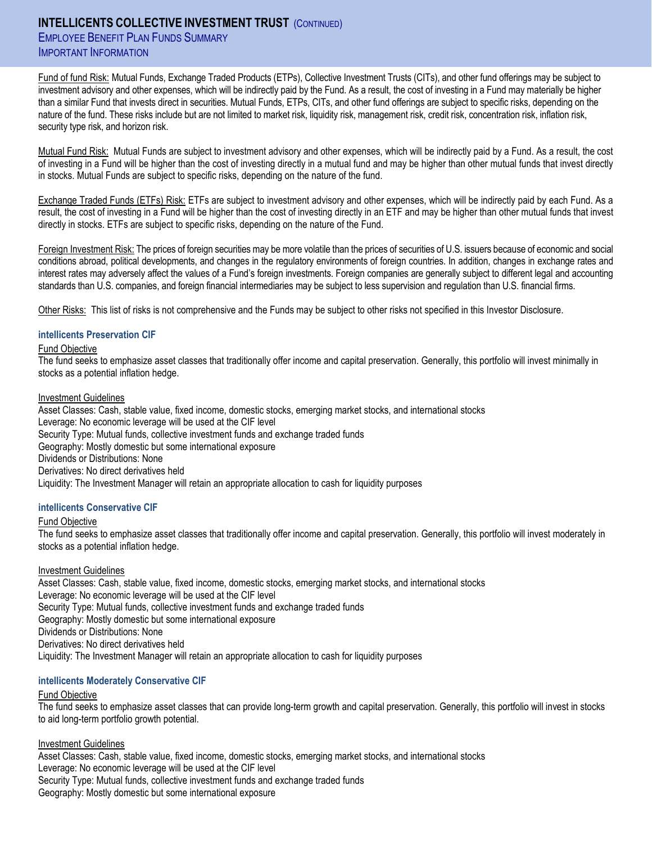# **INTELLICENTS COLLECTIVE INVESTMENT TRUST** (CONTINUED)

**EMPLOYEE BENEFIT PLAN FUNDS SUMMARY** IMPORTANT INFORMATION

Fund of fund Risk: Mutual Funds, Exchange Traded Products (ETPs), Collective Investment Trusts (CITs), and other fund offerings may be subject to investment advisory and other expenses, which will be indirectly paid by the Fund. As a result, the cost of investing in a Fund may materially be higher than a similar Fund that invests direct in securities. Mutual Funds, ETPs, CITs, and other fund offerings are subject to specific risks, depending on the nature of the fund. These risks include but are not limited to market risk, liquidity risk, management risk, credit risk, concentration risk, inflation risk, security type risk, and horizon risk.

Mutual Fund Risk: Mutual Funds are subject to investment advisory and other expenses, which will be indirectly paid by a Fund. As a result, the cost of investing in a Fund will be higher than the cost of investing directly in a mutual fund and may be higher than other mutual funds that invest directly in stocks. Mutual Funds are subject to specific risks, depending on the nature of the fund.

Exchange Traded Funds (ETFs) Risk: ETFs are subject to investment advisory and other expenses, which will be indirectly paid by each Fund. As a result, the cost of investing in a Fund will be higher than the cost of investing directly in an ETF and may be higher than other mutual funds that invest directly in stocks. ETFs are subject to specific risks, depending on the nature of the Fund.

Foreign Investment Risk: The prices of foreign securities may be more volatile than the prices of securities of U.S. issuers because of economic and social conditions abroad, political developments, and changes in the regulatory environments of foreign countries. In addition, changes in exchange rates and interest rates may adversely affect the values of a Fund's foreign investments. Foreign companies are generally subject to different legal and accounting standards than U.S. companies, and foreign financial intermediaries may be subject to less supervision and regulation than U.S. financial firms.

Other Risks: This list of risks is not comprehensive and the Funds may be subject to other risks not specified in this Investor Disclosure.

## **intellicents Preservation CIF**

#### Fund Objective

The fund seeks to emphasize asset classes that traditionally offer income and capital preservation. Generally, this portfolio will invest minimally in stocks as a potential inflation hedge.

#### Investment Guidelines

Asset Classes: Cash, stable value, fixed income, domestic stocks, emerging market stocks, and international stocks Leverage: No economic leverage will be used at the CIF level Security Type: Mutual funds, collective investment funds and exchange traded funds Geography: Mostly domestic but some international exposure Dividends or Distributions: None Derivatives: No direct derivatives held Liquidity: The Investment Manager will retain an appropriate allocation to cash for liquidity purposes

#### **intellicents Conservative CIF**

#### Fund Objective

The fund seeks to emphasize asset classes that traditionally offer income and capital preservation. Generally, this portfolio will invest moderately in stocks as a potential inflation hedge.

#### Investment Guidelines

Asset Classes: Cash, stable value, fixed income, domestic stocks, emerging market stocks, and international stocks Leverage: No economic leverage will be used at the CIF level Security Type: Mutual funds, collective investment funds and exchange traded funds Geography: Mostly domestic but some international exposure Dividends or Distributions: None Derivatives: No direct derivatives held Liquidity: The Investment Manager will retain an appropriate allocation to cash for liquidity purposes

#### **intellicents Moderately Conservative CIF**

#### Fund Objective

The fund seeks to emphasize asset classes that can provide long-term growth and capital preservation. Generally, this portfolio will invest in stocks to aid long-term portfolio growth potential.

#### Investment Guidelines

Asset Classes: Cash, stable value, fixed income, domestic stocks, emerging market stocks, and international stocks Leverage: No economic leverage will be used at the CIF level Security Type: Mutual funds, collective investment funds and exchange traded funds Geography: Mostly domestic but some international exposure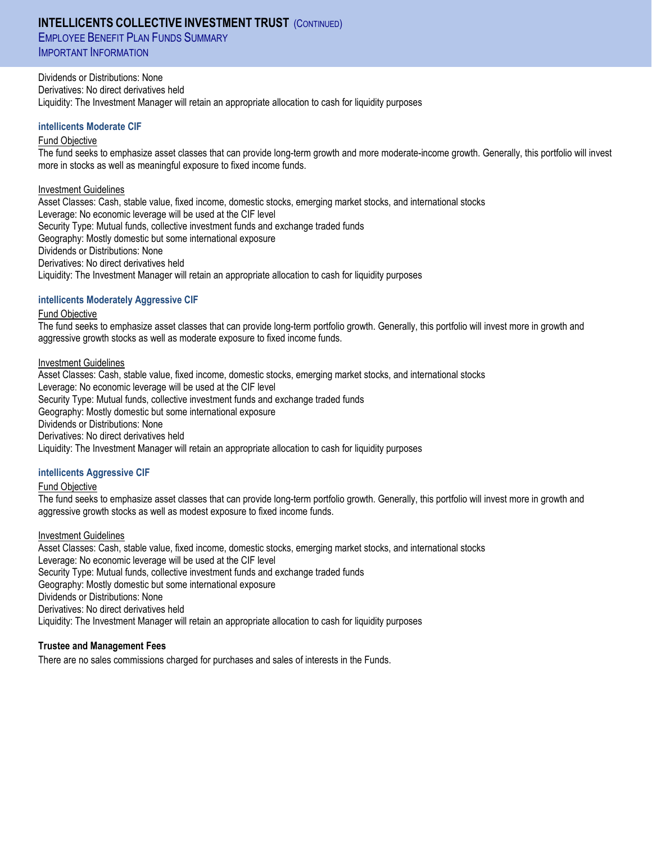# **INTELLICENTS COLLECTIVE INVESTMENT TRUST** (CONTINUED)

**EMPLOYEE BENEFIT PLAN FUNDS SUMMARY** IMPORTANT INFORMATION

Dividends or Distributions: None Derivatives: No direct derivatives held Liquidity: The Investment Manager will retain an appropriate allocation to cash for liquidity purposes

#### **intellicents Moderate CIF**

#### Fund Objective

The fund seeks to emphasize asset classes that can provide long-term growth and more moderate-income growth. Generally, this portfolio will invest more in stocks as well as meaningful exposure to fixed income funds.

#### Investment Guidelines

Asset Classes: Cash, stable value, fixed income, domestic stocks, emerging market stocks, and international stocks Leverage: No economic leverage will be used at the CIF level Security Type: Mutual funds, collective investment funds and exchange traded funds Geography: Mostly domestic but some international exposure Dividends or Distributions: None Derivatives: No direct derivatives held Liquidity: The Investment Manager will retain an appropriate allocation to cash for liquidity purposes

#### **intellicents Moderately Aggressive CIF**

#### Fund Objective

The fund seeks to emphasize asset classes that can provide long-term portfolio growth. Generally, this portfolio will invest more in growth and aggressive growth stocks as well as moderate exposure to fixed income funds.

#### Investment Guidelines

Asset Classes: Cash, stable value, fixed income, domestic stocks, emerging market stocks, and international stocks Leverage: No economic leverage will be used at the CIF level Security Type: Mutual funds, collective investment funds and exchange traded funds Geography: Mostly domestic but some international exposure Dividends or Distributions: None Derivatives: No direct derivatives held Liquidity: The Investment Manager will retain an appropriate allocation to cash for liquidity purposes

#### **intellicents Aggressive CIF**

#### Fund Objective

The fund seeks to emphasize asset classes that can provide long-term portfolio growth. Generally, this portfolio will invest more in growth and aggressive growth stocks as well as modest exposure to fixed income funds.

#### Investment Guidelines

Asset Classes: Cash, stable value, fixed income, domestic stocks, emerging market stocks, and international stocks Leverage: No economic leverage will be used at the CIF level Security Type: Mutual funds, collective investment funds and exchange traded funds Geography: Mostly domestic but some international exposure Dividends or Distributions: None Derivatives: No direct derivatives held Liquidity: The Investment Manager will retain an appropriate allocation to cash for liquidity purposes

#### **Trustee and Management Fees**

There are no sales commissions charged for purchases and sales of interests in the Funds.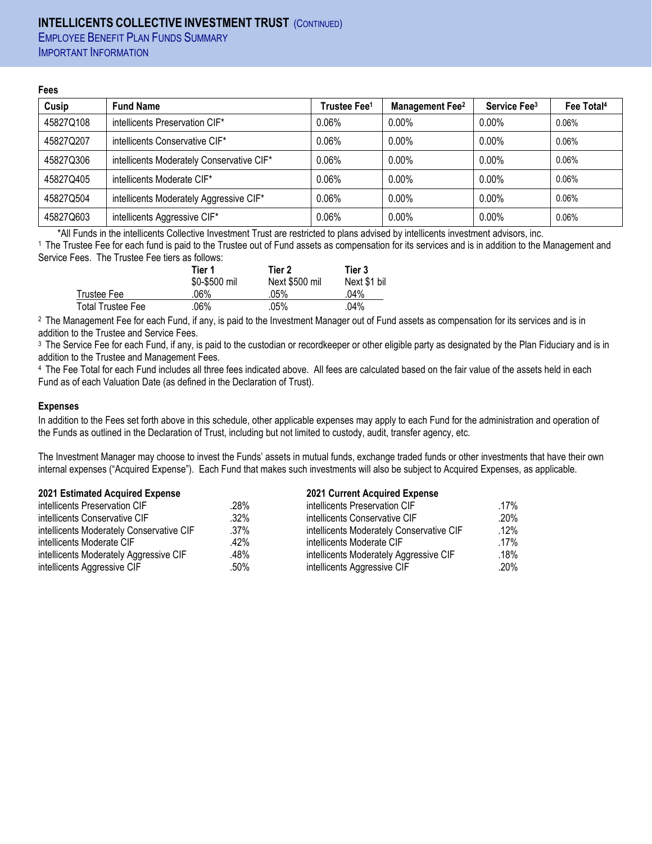# **INTELLICENTS COLLECTIVE INVESTMENT TRUST** (CONTINUED) **EMPLOYEE BENEFIT PLAN FUNDS SUMMARY**

IMPORTANT INFORMATION

#### **Fees**

| Cusip     | <b>Fund Name</b>                          | Trustee Fee <sup>1</sup> | <b>Management Fee<sup>2</sup></b> | Service Fee <sup>3</sup> | Fee Total <sup>4</sup> |
|-----------|-------------------------------------------|--------------------------|-----------------------------------|--------------------------|------------------------|
| 45827Q108 | intellicents Preservation CIF*            | 0.06%                    | $0.00\%$                          | $0.00\%$                 | 0.06%                  |
| 45827Q207 | intellicents Conservative CIF*            | 0.06%                    | $0.00\%$                          | $0.00\%$                 | 0.06%                  |
| 45827Q306 | intellicents Moderately Conservative CIF* | 0.06%                    | $0.00\%$                          | $0.00\%$                 | 0.06%                  |
| 45827Q405 | intellicents Moderate CIF*                | 0.06%                    | $0.00\%$                          | $0.00\%$                 | 0.06%                  |
| 45827Q504 | intellicents Moderately Aggressive CIF*   | 0.06%                    | $0.00\%$                          | $0.00\%$                 | 0.06%                  |
| 45827Q603 | intellicents Aggressive CIF*              | 0.06%                    | $0.00\%$                          | $0.00\%$                 | 0.06%                  |

\*All Funds in the intellicents Collective Investment Trust are restricted to plans advised by intellicents investment advisors, inc.

1 The Trustee Fee for each fund is paid to the Trustee out of Fund assets as compensation for its services and is in addition to the Management and Service Fees. The Trustee Fee tiers as follows:

|                          | Tier 1        | Tier 2         | Tier 3       |
|--------------------------|---------------|----------------|--------------|
|                          | \$0-\$500 mil | Next \$500 mil | Next \$1 bil |
| Trustee Fee              | 06%           | .05%           | .04%         |
| <b>Total Trustee Fee</b> | 06%           | .05%           | .04%         |

2 The Management Fee for each Fund, if any, is paid to the Investment Manager out of Fund assets as compensation for its services and is in addition to the Trustee and Service Fees.

<sup>3</sup> The Service Fee for each Fund, if any, is paid to the custodian or recordkeeper or other eligible party as designated by the Plan Fiduciary and is in addition to the Trustee and Management Fees.

4 The Fee Total for each Fund includes all three fees indicated above. All fees are calculated based on the fair value of the assets held in each Fund as of each Valuation Date (as defined in the Declaration of Trust).

## **Expenses**

In addition to the Fees set forth above in this schedule, other applicable expenses may apply to each Fund for the administration and operation of the Funds as outlined in the Declaration of Trust, including but not limited to custody, audit, transfer agency, etc.

The Investment Manager may choose to invest the Funds' assets in mutual funds, exchange traded funds or other investments that have their own internal expenses ("Acquired Expense"). Each Fund that makes such investments will also be subject to Acquired Expenses, as applicable.

## **2021 Estimated Acquired Expense 2021 Current Acquired Expense**

| intellicents Preservation CIF            | .28%    | intellicents Preservation CIF            | .17%    |
|------------------------------------------|---------|------------------------------------------|---------|
| intellicents Conservative CIF            | .32%    | intellicents Conservative CIF            | .20%    |
| intellicents Moderately Conservative CIF | $.37\%$ | intellicents Moderately Conservative CIF | $.12\%$ |
| intellicents Moderate CIF                | .42%    | intellicents Moderate CIF                | $.17\%$ |
| intellicents Moderately Aggressive CIF   | .48%    | intellicents Moderately Aggressive CIF   | .18%    |
| intellicents Aggressive CIF              | .50%    | intellicents Aggressive CIF              | .20%    |
|                                          |         |                                          |         |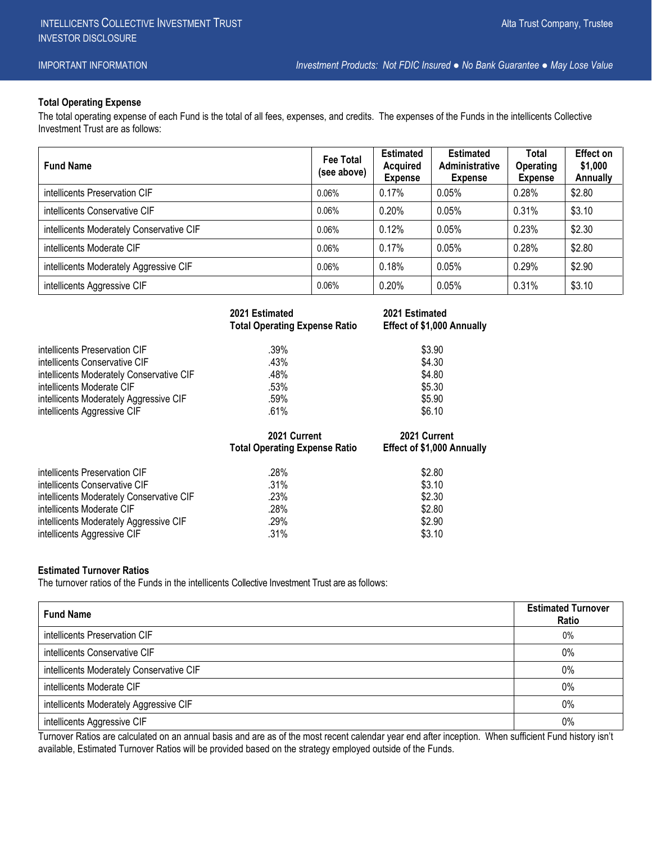IMPORTANT INFORMATION *Investment Products: Not FDIC Insured ● No Bank Guarantee ● May Lose Value*

# **Total Operating Expense**

The total operating expense of each Fund is the total of all fees, expenses, and credits. The expenses of the Funds in the intellicents Collective Investment Trust are as follows:

| <b>Fund Name</b>                         | Fee Total<br>(see above) | <b>Estimated</b><br><b>Acquired</b><br><b>Expense</b> | <b>Estimated</b><br>Administrative<br><b>Expense</b> | Total<br><b>Operating</b><br><b>Expense</b> | Effect on<br>\$1,000<br>Annually |
|------------------------------------------|--------------------------|-------------------------------------------------------|------------------------------------------------------|---------------------------------------------|----------------------------------|
| intellicents Preservation CIF            | 0.06%                    | 0.17%                                                 | 0.05%                                                | 0.28%                                       | \$2.80                           |
| intellicents Conservative CIF            | 0.06%                    | 0.20%                                                 | 0.05%                                                | 0.31%                                       | \$3.10                           |
| intellicents Moderately Conservative CIF | 0.06%                    | 0.12%                                                 | 0.05%                                                | 0.23%                                       | \$2.30                           |
| intellicents Moderate CIF                | 0.06%                    | 0.17%                                                 | 0.05%                                                | 0.28%                                       | \$2.80                           |
| intellicents Moderately Aggressive CIF   | 0.06%                    | 0.18%                                                 | 0.05%                                                | 0.29%                                       | \$2.90                           |
| intellicents Aggressive CIF              | 0.06%                    | 0.20%                                                 | 0.05%                                                | 0.31%                                       | \$3.10                           |

|                                          | 2021 Estimated<br><b>Total Operating Expense Ratio</b> | 2021 Estimated<br>Effect of \$1,000 Annually |
|------------------------------------------|--------------------------------------------------------|----------------------------------------------|
|                                          |                                                        |                                              |
| intellicents Preservation CIF            | $.39\%$                                                | \$3.90                                       |
| intellicents Conservative CIF            | .43%                                                   | \$4.30                                       |
| intellicents Moderately Conservative CIF | .48%                                                   | \$4.80                                       |
| intellicents Moderate CIF                | .53%                                                   | \$5.30                                       |
| intellicents Moderately Aggressive CIF   | .59%                                                   | \$5.90                                       |
| intellicents Aggressive CIF              | .61%                                                   | \$6.10                                       |
|                                          |                                                        |                                              |
|                                          | 2021 Current                                           | 2021 Current                                 |
|                                          | <b>Total Operating Expense Ratio</b>                   | Effect of \$1,000 Annually                   |
| intellicents Preservation CIF            | .28%                                                   | \$2.80                                       |
| intellicents Conservative CIF            | .31%                                                   | \$3.10                                       |
| intellicents Moderately Conservative CIF | .23%                                                   | \$2.30                                       |
| intellicents Moderate CIF                | .28%                                                   | \$2.80                                       |
| intellicents Moderately Aggressive CIF   | .29%                                                   | \$2.90                                       |

# **Estimated Turnover Ratios**

The turnover ratios of the Funds in the intellicents Collective Investment Trust are as follows:

| <b>Fund Name</b>                         | <b>Estimated Turnover</b><br><b>Ratio</b> |
|------------------------------------------|-------------------------------------------|
| intellicents Preservation CIF            | 0%                                        |
| intellicents Conservative CIF            | 0%                                        |
| intellicents Moderately Conservative CIF | 0%                                        |
| intellicents Moderate CIF                | 0%                                        |
| intellicents Moderately Aggressive CIF   | 0%                                        |
| intellicents Aggressive CIF              | 0%                                        |

Turnover Ratios are calculated on an annual basis and are as of the most recent calendar year end after inception. When sufficient Fund history isn't available, Estimated Turnover Ratios will be provided based on the strategy employed outside of the Funds.